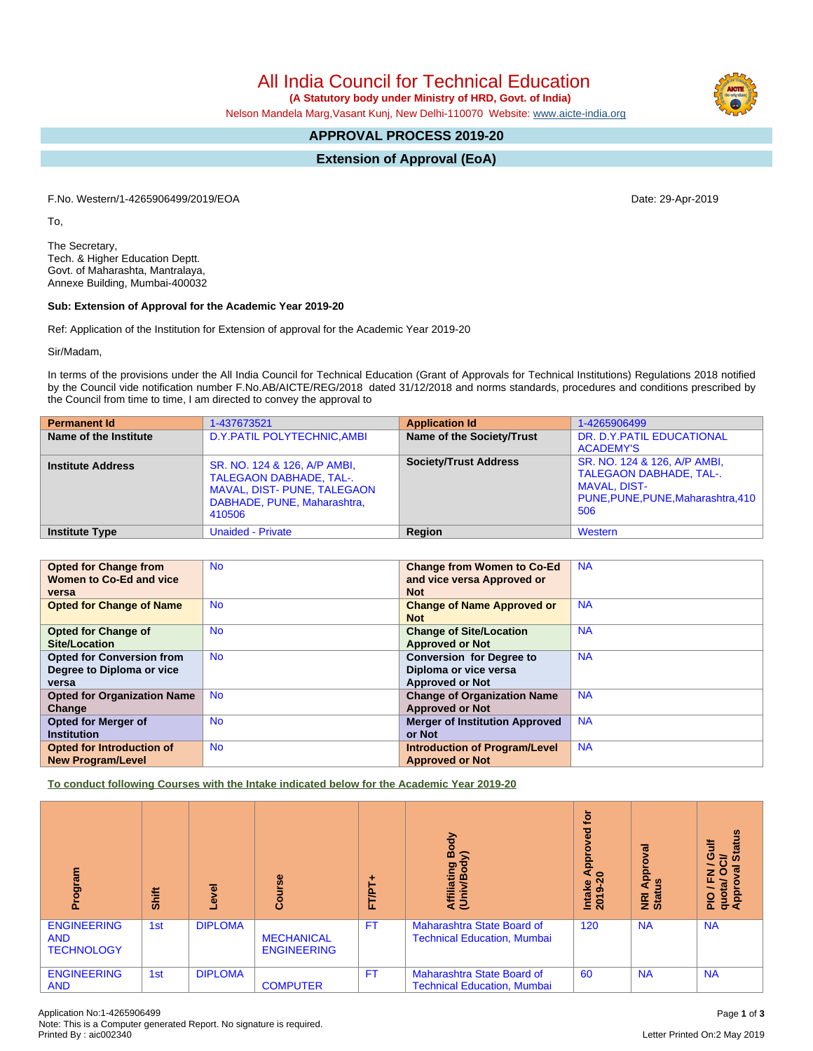All India Council for Technical Education

 **(A Statutory body under Ministry of HRD, Govt. of India)**

Nelson Mandela Marg,Vasant Kunj, New Delhi-110070 Website: [www.aicte-india.org](http://www.aicte-india.org)

# **APPROVAL PROCESS 2019-20**

**Extension of Approval (EoA)**

F.No. Western/1-4265906499/2019/EOA Date: 29-Apr-2019

To,

The Secretary, Tech. & Higher Education Deptt. Govt. of Maharashta, Mantralaya, Annexe Building, Mumbai-400032

### **Sub: Extension of Approval for the Academic Year 2019-20**

Ref: Application of the Institution for Extension of approval for the Academic Year 2019-20

Sir/Madam,

In terms of the provisions under the All India Council for Technical Education (Grant of Approvals for Technical Institutions) Regulations 2018 notified by the Council vide notification number F.No.AB/AICTE/REG/2018 dated 31/12/2018 and norms standards, procedures and conditions prescribed by the Council from time to time, I am directed to convey the approval to

| <b>Permanent Id</b>      | 1-437673521                                                                                                                            | <b>Application Id</b>        | 1-4265906499                                                                                                                       |
|--------------------------|----------------------------------------------------------------------------------------------------------------------------------------|------------------------------|------------------------------------------------------------------------------------------------------------------------------------|
| Name of the Institute    | D.Y. PATIL POLYTECHNIC, AMBI                                                                                                           | Name of the Society/Trust    | DR. D.Y. PATIL EDUCATIONAL<br><b>ACADEMY'S</b>                                                                                     |
| <b>Institute Address</b> | SR. NO. 124 & 126, A/P AMBI,<br><b>TALEGAON DABHADE, TAL-.</b><br>MAVAL, DIST- PUNE, TALEGAON<br>DABHADE, PUNE, Maharashtra,<br>410506 | <b>Society/Trust Address</b> | SR. NO. 124 & 126, A/P AMBI,<br><b>TALEGAON DABHADE, TAL-.</b><br><b>MAVAL, DIST-</b><br>PUNE, PUNE, PUNE, Maharashtra, 410<br>506 |
| <b>Institute Type</b>    | <b>Unaided - Private</b>                                                                                                               | Region                       | Western                                                                                                                            |

| <b>Opted for Change from</b>       | <b>No</b> | <b>Change from Women to Co-Ed</b>     | <b>NA</b> |
|------------------------------------|-----------|---------------------------------------|-----------|
| Women to Co-Ed and vice            |           | and vice versa Approved or            |           |
| versa                              |           | <b>Not</b>                            |           |
| <b>Opted for Change of Name</b>    | <b>No</b> | <b>Change of Name Approved or</b>     | <b>NA</b> |
|                                    |           | <b>Not</b>                            |           |
| <b>Opted for Change of</b>         | <b>No</b> | <b>Change of Site/Location</b>        | <b>NA</b> |
| Site/Location                      |           | <b>Approved or Not</b>                |           |
| <b>Opted for Conversion from</b>   | <b>No</b> | <b>Conversion for Degree to</b>       | <b>NA</b> |
| Degree to Diploma or vice          |           | Diploma or vice versa                 |           |
| versa                              |           | <b>Approved or Not</b>                |           |
| <b>Opted for Organization Name</b> | <b>No</b> | <b>Change of Organization Name</b>    | <b>NA</b> |
| Change                             |           | <b>Approved or Not</b>                |           |
| <b>Opted for Merger of</b>         | <b>No</b> | <b>Merger of Institution Approved</b> | <b>NA</b> |
| <b>Institution</b>                 |           | or Not                                |           |
| Opted for Introduction of          | <b>No</b> | <b>Introduction of Program/Level</b>  | <b>NA</b> |
| <b>New Program/Level</b>           |           | <b>Approved or Not</b>                |           |

**To conduct following Courses with the Intake indicated below for the Academic Year 2019-20**

| Program                                               | Shift | Level          | Course                                  | FT/PT-    | Body<br>≲<br>Affiliating<br>(Univ/Body                           | tor<br>yed<br>Appro<br>$\bullet$<br>Intake<br>2019-2 | Approval<br>9n<br><b>E</b> ä | <b>Status</b><br>놓<br>Ō<br>లె<br>$\overline{\phantom{0}}$<br>$\overline{\overline{5}}$<br>$\circ$<br>준<br>quota/<br>Approv<br><b>PIO</b> |
|-------------------------------------------------------|-------|----------------|-----------------------------------------|-----------|------------------------------------------------------------------|------------------------------------------------------|------------------------------|------------------------------------------------------------------------------------------------------------------------------------------|
| <b>ENGINEERING</b><br><b>AND</b><br><b>TECHNOLOGY</b> | 1st   | <b>DIPLOMA</b> | <b>MECHANICAL</b><br><b>ENGINEERING</b> | <b>FT</b> | Maharashtra State Board of<br><b>Technical Education, Mumbai</b> | 120                                                  | <b>NA</b>                    | <b>NA</b>                                                                                                                                |
| <b>ENGINEERING</b><br><b>AND</b>                      | 1st   | <b>DIPLOMA</b> | <b>COMPUTER</b>                         | <b>FT</b> | Maharashtra State Board of<br><b>Technical Education, Mumbai</b> | 60                                                   | <b>NA</b>                    | <b>NA</b>                                                                                                                                |

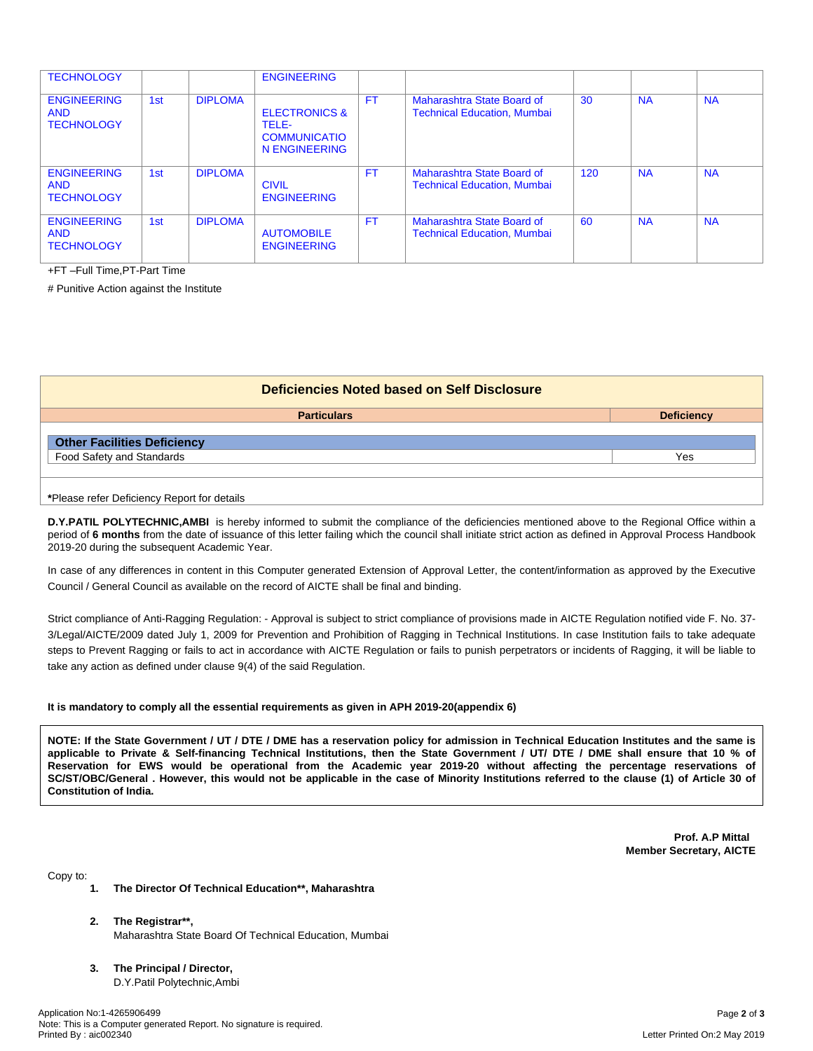| <b>TECHNOLOGY</b>                                     |     |                | <b>ENGINEERING</b>                                                        |           |                                                                         |     |           |           |
|-------------------------------------------------------|-----|----------------|---------------------------------------------------------------------------|-----------|-------------------------------------------------------------------------|-----|-----------|-----------|
| <b>ENGINEERING</b><br><b>AND</b><br><b>TECHNOLOGY</b> | 1st | <b>DIPLOMA</b> | <b>ELECTRONICS &amp;</b><br>TELE-<br><b>COMMUNICATIO</b><br>N ENGINEERING | <b>FT</b> | Maharashtra State Board of<br><b>Technical Education, Mumbai</b>        | 30  | <b>NA</b> | <b>NA</b> |
| <b>ENGINEERING</b><br><b>AND</b><br><b>TECHNOLOGY</b> | 1st | <b>DIPLOMA</b> | <b>CIVIL</b><br><b>ENGINEERING</b>                                        | <b>FT</b> | Maharashtra State Board of<br><b>Technical Education, Mumbai</b>        | 120 | <b>NA</b> | <b>NA</b> |
| <b>ENGINEERING</b><br><b>AND</b><br><b>TECHNOLOGY</b> | 1st | <b>DIPLOMA</b> | <b>AUTOMOBILE</b><br><b>ENGINEERING</b>                                   | <b>FT</b> | <b>Maharashtra State Board of</b><br><b>Technical Education, Mumbai</b> | 60  | <b>NA</b> | <b>NA</b> |

+FT –Full Time,PT-Part Time

# Punitive Action against the Institute

| Deficiencies Noted based on Self Disclosure |                   |  |  |  |
|---------------------------------------------|-------------------|--|--|--|
| <b>Particulars</b>                          | <b>Deficiency</b> |  |  |  |
| <b>Other Facilities Deficiency</b>          |                   |  |  |  |
| Food Safety and Standards                   | Yes               |  |  |  |
|                                             |                   |  |  |  |

**\***Please refer Deficiency Report for details

**D.Y.PATIL POLYTECHNIC,AMBI** is hereby informed to submit the compliance of the deficiencies mentioned above to the Regional Office within a period of **6 months** from the date of issuance of this letter failing which the council shall initiate strict action as defined in Approval Process Handbook 2019-20 during the subsequent Academic Year.

In case of any differences in content in this Computer generated Extension of Approval Letter, the content/information as approved by the Executive Council / General Council as available on the record of AICTE shall be final and binding.

Strict compliance of Anti-Ragging Regulation: - Approval is subject to strict compliance of provisions made in AICTE Regulation notified vide F. No. 37- 3/Legal/AICTE/2009 dated July 1, 2009 for Prevention and Prohibition of Ragging in Technical Institutions. In case Institution fails to take adequate steps to Prevent Ragging or fails to act in accordance with AICTE Regulation or fails to punish perpetrators or incidents of Ragging, it will be liable to take any action as defined under clause 9(4) of the said Regulation.

#### **It is mandatory to comply all the essential requirements as given in APH 2019-20(appendix 6)**

NOTE: If the State Government / UT / DTE / DME has a reservation policy for admission in Technical Education Institutes and the same is applicable to Private & Self-financing Technical Institutions, then the State Government / UT/ DTE / DME shall ensure that 10 % of Reservation for EWS would be operational from the Academic year 2019-20 without affecting the percentage reservations of SC/ST/OBC/General. However, this would not be applicable in the case of Minority Institutions referred to the clause (1) of Article 30 of **Constitution of India.**

> **Prof. A.P Mittal Member Secretary, AICTE**

Copy to:

- **1. The Director Of Technical Education\*\*, Maharashtra**
- **2. The Registrar\*\*,** Maharashtra State Board Of Technical Education, Mumbai
- **3. The Principal / Director,** D.Y.Patil Polytechnic,Ambi